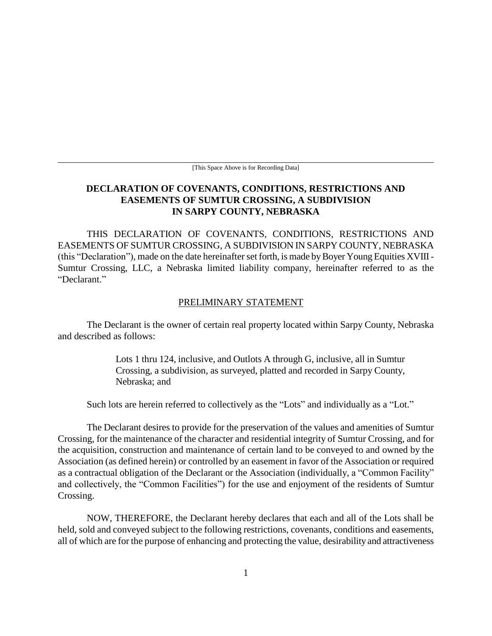[This Space Above is for Recording Data]

# **DECLARATION OF COVENANTS, CONDITIONS, RESTRICTIONS AND EASEMENTS OF SUMTUR CROSSING, A SUBDIVISION IN SARPY COUNTY, NEBRASKA**

THIS DECLARATION OF COVENANTS, CONDITIONS, RESTRICTIONS AND EASEMENTS OF SUMTUR CROSSING, A SUBDIVISION IN SARPY COUNTY, NEBRASKA (this "Declaration"), made on the date hereinafter set forth, is made by Boyer Young Equities XVIII - Sumtur Crossing, LLC, a Nebraska limited liability company, hereinafter referred to as the "Declarant."

#### PRELIMINARY STATEMENT

The Declarant is the owner of certain real property located within Sarpy County, Nebraska and described as follows:

> Lots 1 thru 124, inclusive, and Outlots A through G, inclusive, all in Sumtur Crossing, a subdivision, as surveyed, platted and recorded in Sarpy County, Nebraska; and

Such lots are herein referred to collectively as the "Lots" and individually as a "Lot."

The Declarant desires to provide for the preservation of the values and amenities of Sumtur Crossing, for the maintenance of the character and residential integrity of Sumtur Crossing, and for the acquisition, construction and maintenance of certain land to be conveyed to and owned by the Association (as defined herein) or controlled by an easement in favor of the Association or required as a contractual obligation of the Declarant or the Association (individually, a "Common Facility" and collectively, the "Common Facilities") for the use and enjoyment of the residents of Sumtur Crossing.

NOW, THEREFORE, the Declarant hereby declares that each and all of the Lots shall be held, sold and conveyed subject to the following restrictions, covenants, conditions and easements, all of which are for the purpose of enhancing and protecting the value, desirability and attractiveness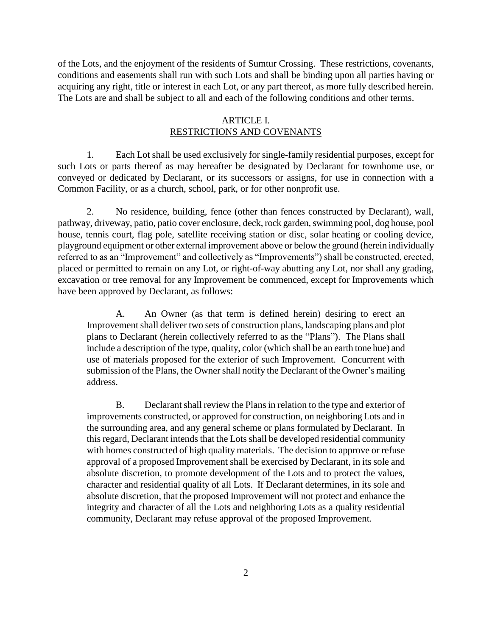of the Lots, and the enjoyment of the residents of Sumtur Crossing. These restrictions, covenants, conditions and easements shall run with such Lots and shall be binding upon all parties having or acquiring any right, title or interest in each Lot, or any part thereof, as more fully described herein. The Lots are and shall be subject to all and each of the following conditions and other terms.

#### ARTICLE I. RESTRICTIONS AND COVENANTS

1. Each Lot shall be used exclusively for single-family residential purposes, except for such Lots or parts thereof as may hereafter be designated by Declarant for townhome use, or conveyed or dedicated by Declarant, or its successors or assigns, for use in connection with a Common Facility, or as a church, school, park, or for other nonprofit use.

2. No residence, building, fence (other than fences constructed by Declarant), wall, pathway, driveway, patio, patio cover enclosure, deck, rock garden, swimming pool, dog house, pool house, tennis court, flag pole, satellite receiving station or disc, solar heating or cooling device, playground equipment or other external improvement above or below the ground (herein individually referred to as an "Improvement" and collectively as "Improvements") shall be constructed, erected, placed or permitted to remain on any Lot, or right-of-way abutting any Lot, nor shall any grading, excavation or tree removal for any Improvement be commenced, except for Improvements which have been approved by Declarant, as follows:

A. An Owner (as that term is defined herein) desiring to erect an Improvement shall deliver two sets of construction plans, landscaping plans and plot plans to Declarant (herein collectively referred to as the "Plans"). The Plans shall include a description of the type, quality, color (which shall be an earth tone hue) and use of materials proposed for the exterior of such Improvement. Concurrent with submission of the Plans, the Owner shall notify the Declarant of the Owner's mailing address.

B. Declarant shall review the Plans in relation to the type and exterior of improvements constructed, or approved for construction, on neighboring Lots and in the surrounding area, and any general scheme or plans formulated by Declarant. In this regard, Declarant intends that the Lots shall be developed residential community with homes constructed of high quality materials. The decision to approve or refuse approval of a proposed Improvement shall be exercised by Declarant, in its sole and absolute discretion, to promote development of the Lots and to protect the values, character and residential quality of all Lots. If Declarant determines, in its sole and absolute discretion, that the proposed Improvement will not protect and enhance the integrity and character of all the Lots and neighboring Lots as a quality residential community, Declarant may refuse approval of the proposed Improvement.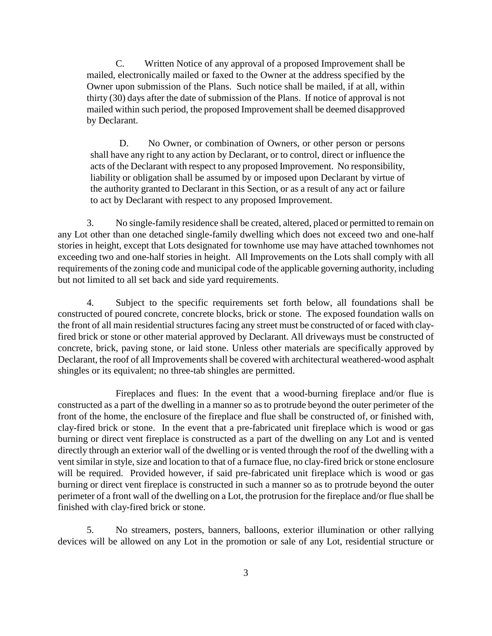C. Written Notice of any approval of a proposed Improvement shall be mailed, electronically mailed or faxed to the Owner at the address specified by the Owner upon submission of the Plans. Such notice shall be mailed, if at all, within thirty (30) days after the date of submission of the Plans. If notice of approval is not mailed within such period, the proposed Improvement shall be deemed disapproved by Declarant.

D. No Owner, or combination of Owners, or other person or persons shall have any right to any action by Declarant, or to control, direct or influence the acts of the Declarant with respect to any proposed Improvement. No responsibility, liability or obligation shall be assumed by or imposed upon Declarant by virtue of the authority granted to Declarant in this Section, or as a result of any act or failure to act by Declarant with respect to any proposed Improvement.

3. No single-family residence shall be created, altered, placed or permitted to remain on any Lot other than one detached single-family dwelling which does not exceed two and one-half stories in height, except that Lots designated for townhome use may have attached townhomes not exceeding two and one-half stories in height. All Improvements on the Lots shall comply with all requirements of the zoning code and municipal code of the applicable governing authority, including but not limited to all set back and side yard requirements.

4. Subject to the specific requirements set forth below, all foundations shall be constructed of poured concrete, concrete blocks, brick or stone. The exposed foundation walls on the front of all main residential structures facing any street must be constructed of or faced with clayfired brick or stone or other material approved by Declarant. All driveways must be constructed of concrete, brick, paving stone, or laid stone. Unless other materials are specifically approved by Declarant, the roof of all Improvements shall be covered with architectural weathered-wood asphalt shingles or its equivalent; no three-tab shingles are permitted.

Fireplaces and flues: In the event that a wood-burning fireplace and/or flue is constructed as a part of the dwelling in a manner so as to protrude beyond the outer perimeter of the front of the home, the enclosure of the fireplace and flue shall be constructed of, or finished with, clay-fired brick or stone. In the event that a pre-fabricated unit fireplace which is wood or gas burning or direct vent fireplace is constructed as a part of the dwelling on any Lot and is vented directly through an exterior wall of the dwelling or is vented through the roof of the dwelling with a vent similar in style, size and location to that of a furnace flue, no clay-fired brick or stone enclosure will be required. Provided however, if said pre-fabricated unit fireplace which is wood or gas burning or direct vent fireplace is constructed in such a manner so as to protrude beyond the outer perimeter of a front wall of the dwelling on a Lot, the protrusion for the fireplace and/or flue shall be finished with clay-fired brick or stone.

5. No streamers, posters, banners, balloons, exterior illumination or other rallying devices will be allowed on any Lot in the promotion or sale of any Lot, residential structure or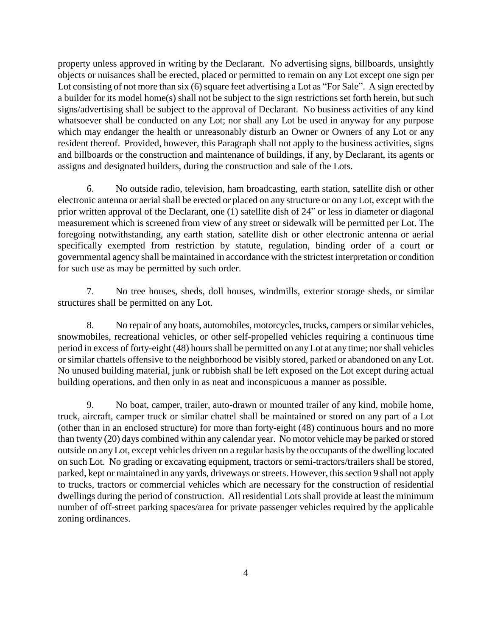property unless approved in writing by the Declarant. No advertising signs, billboards, unsightly objects or nuisances shall be erected, placed or permitted to remain on any Lot except one sign per Lot consisting of not more than six (6) square feet advertising a Lot as "For Sale". A sign erected by a builder for its model home(s) shall not be subject to the sign restrictions set forth herein, but such signs/advertising shall be subject to the approval of Declarant. No business activities of any kind whatsoever shall be conducted on any Lot; nor shall any Lot be used in anyway for any purpose which may endanger the health or unreasonably disturb an Owner or Owners of any Lot or any resident thereof. Provided, however, this Paragraph shall not apply to the business activities, signs and billboards or the construction and maintenance of buildings, if any, by Declarant, its agents or assigns and designated builders, during the construction and sale of the Lots.

6. No outside radio, television, ham broadcasting, earth station, satellite dish or other electronic antenna or aerial shall be erected or placed on any structure or on any Lot, except with the prior written approval of the Declarant, one (1) satellite dish of 24" or less in diameter or diagonal measurement which is screened from view of any street or sidewalk will be permitted per Lot. The foregoing notwithstanding, any earth station, satellite dish or other electronic antenna or aerial specifically exempted from restriction by statute, regulation, binding order of a court or governmental agency shall be maintained in accordance with the strictest interpretation or condition for such use as may be permitted by such order.

7. No tree houses, sheds, doll houses, windmills, exterior storage sheds, or similar structures shall be permitted on any Lot.

8. No repair of any boats, automobiles, motorcycles, trucks, campers or similar vehicles, snowmobiles, recreational vehicles, or other self-propelled vehicles requiring a continuous time period in excess of forty-eight (48) hours shall be permitted on any Lot at any time; nor shall vehicles or similar chattels offensive to the neighborhood be visibly stored, parked or abandoned on any Lot. No unused building material, junk or rubbish shall be left exposed on the Lot except during actual building operations, and then only in as neat and inconspicuous a manner as possible.

9. No boat, camper, trailer, auto-drawn or mounted trailer of any kind, mobile home, truck, aircraft, camper truck or similar chattel shall be maintained or stored on any part of a Lot (other than in an enclosed structure) for more than forty-eight (48) continuous hours and no more than twenty (20) days combined within any calendar year. No motor vehicle may be parked or stored outside on any Lot, except vehicles driven on a regular basis by the occupants of the dwelling located on such Lot. No grading or excavating equipment, tractors or semi-tractors/trailers shall be stored, parked, kept or maintained in any yards, driveways or streets. However, this section 9 shall not apply to trucks, tractors or commercial vehicles which are necessary for the construction of residential dwellings during the period of construction. All residential Lots shall provide at least the minimum number of off-street parking spaces/area for private passenger vehicles required by the applicable zoning ordinances.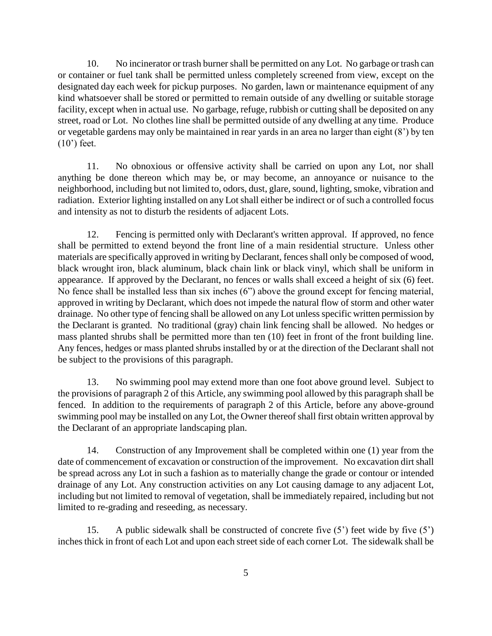10. No incinerator or trash burner shall be permitted on any Lot. No garbage or trash can or container or fuel tank shall be permitted unless completely screened from view, except on the designated day each week for pickup purposes. No garden, lawn or maintenance equipment of any kind whatsoever shall be stored or permitted to remain outside of any dwelling or suitable storage facility, except when in actual use. No garbage, refuge, rubbish or cutting shall be deposited on any street, road or Lot. No clothes line shall be permitted outside of any dwelling at any time. Produce or vegetable gardens may only be maintained in rear yards in an area no larger than eight (8') by ten (10') feet.

11. No obnoxious or offensive activity shall be carried on upon any Lot, nor shall anything be done thereon which may be, or may become, an annoyance or nuisance to the neighborhood, including but not limited to, odors, dust, glare, sound, lighting, smoke, vibration and radiation. Exterior lighting installed on any Lot shall either be indirect or of such a controlled focus and intensity as not to disturb the residents of adjacent Lots.

12. Fencing is permitted only with Declarant's written approval. If approved, no fence shall be permitted to extend beyond the front line of a main residential structure. Unless other materials are specifically approved in writing by Declarant, fences shall only be composed of wood, black wrought iron, black aluminum, black chain link or black vinyl, which shall be uniform in appearance. If approved by the Declarant, no fences or walls shall exceed a height of six (6) feet. No fence shall be installed less than six inches (6") above the ground except for fencing material, approved in writing by Declarant, which does not impede the natural flow of storm and other water drainage. No other type of fencing shall be allowed on any Lot unless specific written permission by the Declarant is granted. No traditional (gray) chain link fencing shall be allowed. No hedges or mass planted shrubs shall be permitted more than ten (10) feet in front of the front building line. Any fences, hedges or mass planted shrubs installed by or at the direction of the Declarant shall not be subject to the provisions of this paragraph.

13. No swimming pool may extend more than one foot above ground level. Subject to the provisions of paragraph 2 of this Article, any swimming pool allowed by this paragraph shall be fenced. In addition to the requirements of paragraph 2 of this Article, before any above-ground swimming pool may be installed on any Lot, the Owner thereof shall first obtain written approval by the Declarant of an appropriate landscaping plan.

14. Construction of any Improvement shall be completed within one (1) year from the date of commencement of excavation or construction of the improvement. No excavation dirt shall be spread across any Lot in such a fashion as to materially change the grade or contour or intended drainage of any Lot. Any construction activities on any Lot causing damage to any adjacent Lot, including but not limited to removal of vegetation, shall be immediately repaired, including but not limited to re-grading and reseeding, as necessary.

15. A public sidewalk shall be constructed of concrete five (5') feet wide by five (5') inches thick in front of each Lot and upon each street side of each corner Lot. The sidewalk shall be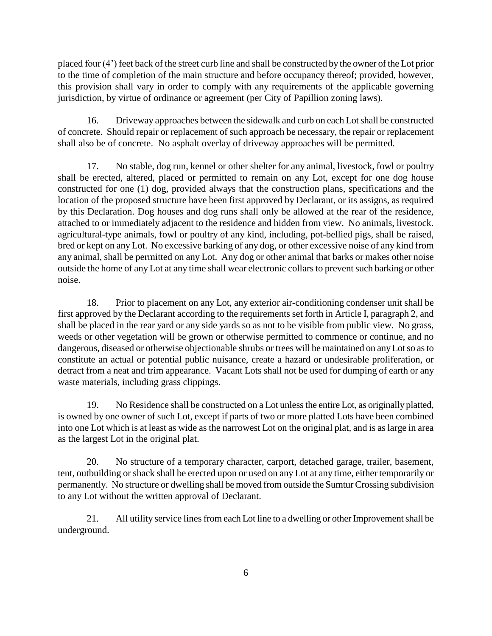placed four (4') feet back of the street curb line and shall be constructed by the owner of the Lot prior to the time of completion of the main structure and before occupancy thereof; provided, however, this provision shall vary in order to comply with any requirements of the applicable governing jurisdiction, by virtue of ordinance or agreement (per City of Papillion zoning laws).

16. Driveway approaches between the sidewalk and curb on each Lot shall be constructed of concrete. Should repair or replacement of such approach be necessary, the repair or replacement shall also be of concrete. No asphalt overlay of driveway approaches will be permitted.

17. No stable, dog run, kennel or other shelter for any animal, livestock, fowl or poultry shall be erected, altered, placed or permitted to remain on any Lot, except for one dog house constructed for one (1) dog, provided always that the construction plans, specifications and the location of the proposed structure have been first approved by Declarant, or its assigns, as required by this Declaration. Dog houses and dog runs shall only be allowed at the rear of the residence, attached to or immediately adjacent to the residence and hidden from view. No animals, livestock. agricultural-type animals, fowl or poultry of any kind, including, pot-bellied pigs, shall be raised, bred or kept on any Lot. No excessive barking of any dog, or other excessive noise of any kind from any animal, shall be permitted on any Lot. Any dog or other animal that barks or makes other noise outside the home of any Lot at any time shall wear electronic collars to prevent such barking or other noise.

18. Prior to placement on any Lot, any exterior air-conditioning condenser unit shall be first approved by the Declarant according to the requirements set forth in Article I, paragraph 2, and shall be placed in the rear yard or any side yards so as not to be visible from public view. No grass, weeds or other vegetation will be grown or otherwise permitted to commence or continue, and no dangerous, diseased or otherwise objectionable shrubs or trees will be maintained on any Lot so as to constitute an actual or potential public nuisance, create a hazard or undesirable proliferation, or detract from a neat and trim appearance. Vacant Lots shall not be used for dumping of earth or any waste materials, including grass clippings.

19. No Residence shall be constructed on a Lot unless the entire Lot, as originally platted, is owned by one owner of such Lot, except if parts of two or more platted Lots have been combined into one Lot which is at least as wide as the narrowest Lot on the original plat, and is as large in area as the largest Lot in the original plat.

20. No structure of a temporary character, carport, detached garage, trailer, basement, tent, outbuilding or shack shall be erected upon or used on any Lot at any time, either temporarily or permanently. No structure or dwelling shall be moved from outside the Sumtur Crossing subdivision to any Lot without the written approval of Declarant.

21. All utility service lines from each Lot line to a dwelling or other Improvement shall be underground.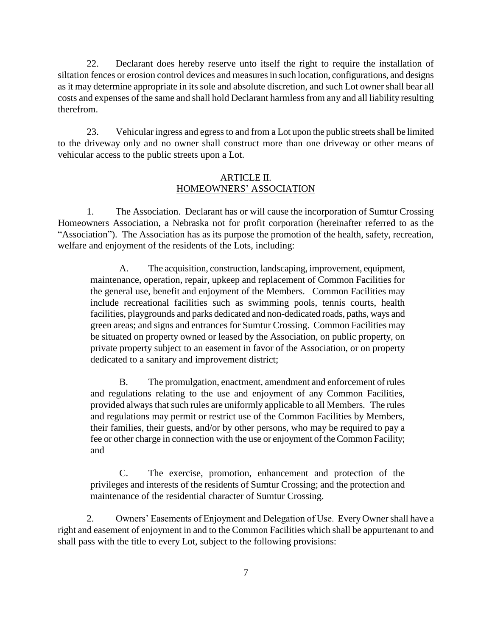22. Declarant does hereby reserve unto itself the right to require the installation of siltation fences or erosion control devices and measures in such location, configurations, and designs as it may determine appropriate in its sole and absolute discretion, and such Lot owner shall bear all costs and expenses of the same and shall hold Declarant harmless from any and all liability resulting therefrom.

23. Vehicular ingress and egress to and from a Lot upon the public streets shall be limited to the driveway only and no owner shall construct more than one driveway or other means of vehicular access to the public streets upon a Lot.

## ARTICLE II. HOMEOWNERS' ASSOCIATION

1. The Association. Declarant has or will cause the incorporation of Sumtur Crossing Homeowners Association, a Nebraska not for profit corporation (hereinafter referred to as the "Association"). The Association has as its purpose the promotion of the health, safety, recreation, welfare and enjoyment of the residents of the Lots, including:

A. The acquisition, construction, landscaping, improvement, equipment, maintenance, operation, repair, upkeep and replacement of Common Facilities for the general use, benefit and enjoyment of the Members. Common Facilities may include recreational facilities such as swimming pools, tennis courts, health facilities, playgrounds and parks dedicated and non-dedicated roads, paths, ways and green areas; and signs and entrances for Sumtur Crossing. Common Facilities may be situated on property owned or leased by the Association, on public property, on private property subject to an easement in favor of the Association, or on property dedicated to a sanitary and improvement district;

B. The promulgation, enactment, amendment and enforcement of rules and regulations relating to the use and enjoyment of any Common Facilities, provided always that such rules are uniformly applicable to all Members. The rules and regulations may permit or restrict use of the Common Facilities by Members, their families, their guests, and/or by other persons, who may be required to pay a fee or other charge in connection with the use or enjoyment of the Common Facility; and

C. The exercise, promotion, enhancement and protection of the privileges and interests of the residents of Sumtur Crossing; and the protection and maintenance of the residential character of Sumtur Crossing.

2. Owners' Easements of Enjoyment and Delegation of Use. Every Owner shall have a right and easement of enjoyment in and to the Common Facilities which shall be appurtenant to and shall pass with the title to every Lot, subject to the following provisions: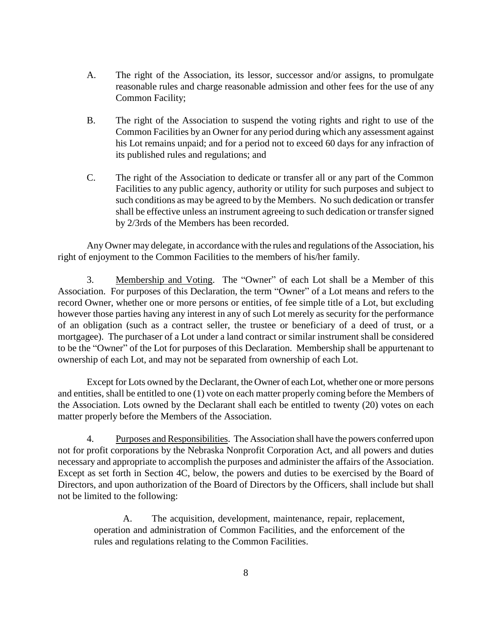- A. The right of the Association, its lessor, successor and/or assigns, to promulgate reasonable rules and charge reasonable admission and other fees for the use of any Common Facility;
- B. The right of the Association to suspend the voting rights and right to use of the Common Facilities by an Owner for any period during which any assessment against his Lot remains unpaid; and for a period not to exceed 60 days for any infraction of its published rules and regulations; and
- C. The right of the Association to dedicate or transfer all or any part of the Common Facilities to any public agency, authority or utility for such purposes and subject to such conditions as may be agreed to by the Members. No such dedication or transfer shall be effective unless an instrument agreeing to such dedication or transfer signed by 2/3rds of the Members has been recorded.

Any Owner may delegate, in accordance with the rules and regulations of the Association, his right of enjoyment to the Common Facilities to the members of his/her family.

3. Membership and Voting. The "Owner" of each Lot shall be a Member of this Association. For purposes of this Declaration, the term "Owner" of a Lot means and refers to the record Owner, whether one or more persons or entities, of fee simple title of a Lot, but excluding however those parties having any interest in any of such Lot merely as security for the performance of an obligation (such as a contract seller, the trustee or beneficiary of a deed of trust, or a mortgagee). The purchaser of a Lot under a land contract or similar instrument shall be considered to be the "Owner" of the Lot for purposes of this Declaration. Membership shall be appurtenant to ownership of each Lot, and may not be separated from ownership of each Lot.

Except for Lots owned by the Declarant, the Owner of each Lot, whether one or more persons and entities, shall be entitled to one (1) vote on each matter properly coming before the Members of the Association. Lots owned by the Declarant shall each be entitled to twenty (20) votes on each matter properly before the Members of the Association.

4. Purposes and Responsibilities. The Association shall have the powers conferred upon not for profit corporations by the Nebraska Nonprofit Corporation Act, and all powers and duties necessary and appropriate to accomplish the purposes and administer the affairs of the Association. Except as set forth in Section 4C, below, the powers and duties to be exercised by the Board of Directors, and upon authorization of the Board of Directors by the Officers, shall include but shall not be limited to the following:

A. The acquisition, development, maintenance, repair, replacement, operation and administration of Common Facilities, and the enforcement of the rules and regulations relating to the Common Facilities.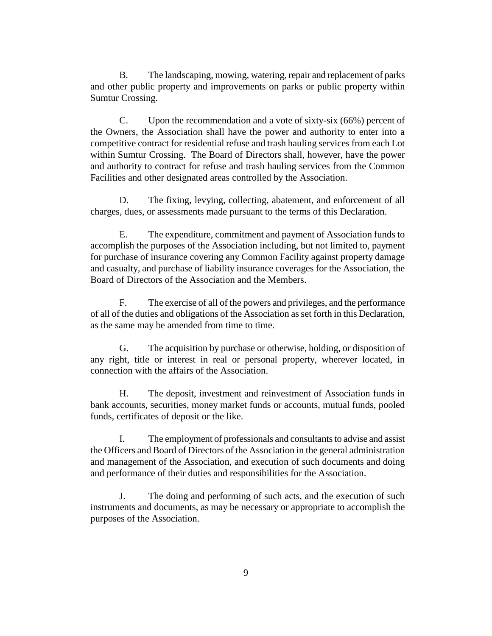B. The landscaping, mowing, watering, repair and replacement of parks and other public property and improvements on parks or public property within Sumtur Crossing.

C. Upon the recommendation and a vote of sixty-six (66%) percent of the Owners, the Association shall have the power and authority to enter into a competitive contract for residential refuse and trash hauling services from each Lot within Sumtur Crossing. The Board of Directors shall, however, have the power and authority to contract for refuse and trash hauling services from the Common Facilities and other designated areas controlled by the Association.

D. The fixing, levying, collecting, abatement, and enforcement of all charges, dues, or assessments made pursuant to the terms of this Declaration.

E. The expenditure, commitment and payment of Association funds to accomplish the purposes of the Association including, but not limited to, payment for purchase of insurance covering any Common Facility against property damage and casualty, and purchase of liability insurance coverages for the Association, the Board of Directors of the Association and the Members.

F. The exercise of all of the powers and privileges, and the performance of all of the duties and obligations of the Association as set forth in this Declaration, as the same may be amended from time to time.

G. The acquisition by purchase or otherwise, holding, or disposition of any right, title or interest in real or personal property, wherever located, in connection with the affairs of the Association.

H. The deposit, investment and reinvestment of Association funds in bank accounts, securities, money market funds or accounts, mutual funds, pooled funds, certificates of deposit or the like.

I. The employment of professionals and consultants to advise and assist the Officers and Board of Directors of the Association in the general administration and management of the Association, and execution of such documents and doing and performance of their duties and responsibilities for the Association.

J. The doing and performing of such acts, and the execution of such instruments and documents, as may be necessary or appropriate to accomplish the purposes of the Association.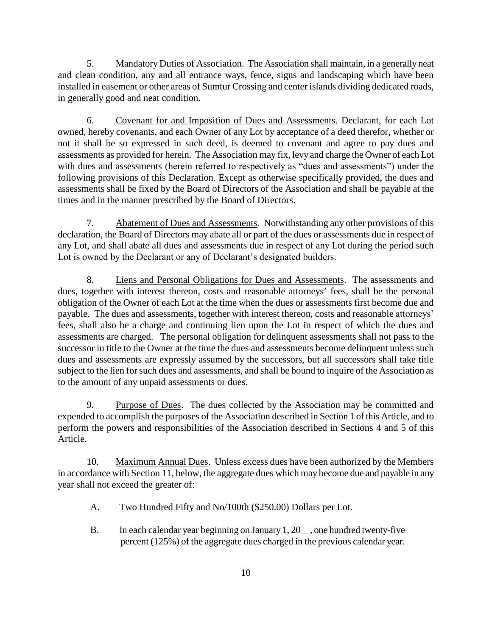5. Mandatory Duties of Association. The Association shall maintain, in a generally neat and clean condition, any and all entrance ways, fence, signs and landscaping which have been installed in easement or other areas of Sumtur Crossing and center islands dividing dedicated roads, in generally good and neat condition.

6. Covenant for and Imposition of Dues and Assessments. Declarant, for each Lot owned, hereby covenants, and each Owner of any Lot by acceptance of a deed therefor, whether or not it shall be so expressed in such deed, is deemed to covenant and agree to pay dues and assessments as provided for herein. The Association may fix, levy and charge the Owner of each Lot with dues and assessments (herein referred to respectively as "dues and assessments") under the following provisions of this Declaration. Except as otherwise specifically provided, the dues and assessments shall be fixed by the Board of Directors of the Association and shall be payable at the times and in the manner prescribed by the Board of Directors.

7. Abatement of Dues and Assessments. Notwithstanding any other provisions of this declaration, the Board of Directors may abate all or part of the dues or assessments due in respect of any Lot, and shall abate all dues and assessments due in respect of any Lot during the period such Lot is owned by the Declarant or any of Declarant's designated builders.

8. Liens and Personal Obligations for Dues and Assessments. The assessments and dues, together with interest thereon, costs and reasonable attorneys' fees, shall be the personal obligation of the Owner of each Lot at the time when the dues or assessments first become due and payable. The dues and assessments, together with interest thereon, costs and reasonable attorneys' fees, shall also be a charge and continuing lien upon the Lot in respect of which the dues and assessments are charged. The personal obligation for delinquent assessments shall not pass to the successor in title to the Owner at the time the dues and assessments become delinquent unless such dues and assessments are expressly assumed by the successors, but all successors shall take title subject to the lien for such dues and assessments, and shall be bound to inquire of the Association as to the amount of any unpaid assessments or dues.

9. Purpose of Dues. The dues collected by the Association may be committed and expended to accomplish the purposes of the Association described in Section 1 of this Article, and to perform the powers and responsibilities of the Association described in Sections 4 and 5 of this Article.

10. Maximum Annual Dues. Unless excess dues have been authorized by the Members in accordance with Section 11, below, the aggregate dues which may become due and payable in any year shall not exceed the greater of:

- A. Two Hundred Fifty and No/100th (\$250.00) Dollars per Lot.
- B. In each calendar year beginning on January 1, 20\_\_, one hundred twenty-five percent (125%) of the aggregate dues charged in the previous calendar year.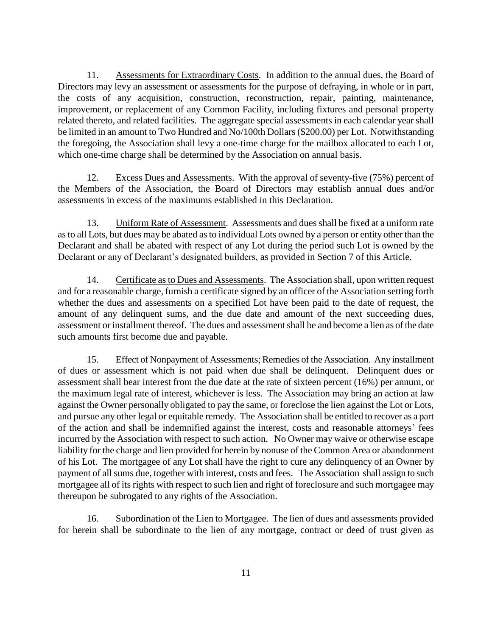11. Assessments for Extraordinary Costs. In addition to the annual dues, the Board of Directors may levy an assessment or assessments for the purpose of defraying, in whole or in part, the costs of any acquisition, construction, reconstruction, repair, painting, maintenance, improvement, or replacement of any Common Facility, including fixtures and personal property related thereto, and related facilities. The aggregate special assessments in each calendar year shall be limited in an amount to Two Hundred and No/100th Dollars (\$200.00) per Lot. Notwithstanding the foregoing, the Association shall levy a one-time charge for the mailbox allocated to each Lot, which one-time charge shall be determined by the Association on annual basis.

12. Excess Dues and Assessments. With the approval of seventy-five (75%) percent of the Members of the Association, the Board of Directors may establish annual dues and/or assessments in excess of the maximums established in this Declaration.

13. Uniform Rate of Assessment. Assessments and dues shall be fixed at a uniform rate as to all Lots, but dues may be abated as to individual Lots owned by a person or entity other than the Declarant and shall be abated with respect of any Lot during the period such Lot is owned by the Declarant or any of Declarant's designated builders, as provided in Section 7 of this Article.

14. Certificate as to Dues and Assessments. The Association shall, upon written request and for a reasonable charge, furnish a certificate signed by an officer of the Association setting forth whether the dues and assessments on a specified Lot have been paid to the date of request, the amount of any delinquent sums, and the due date and amount of the next succeeding dues, assessment or installment thereof. The dues and assessment shall be and become a lien as of the date such amounts first become due and payable.

15. Effect of Nonpayment of Assessments; Remedies of the Association. Any installment of dues or assessment which is not paid when due shall be delinquent. Delinquent dues or assessment shall bear interest from the due date at the rate of sixteen percent (16%) per annum, or the maximum legal rate of interest, whichever is less. The Association may bring an action at law against the Owner personally obligated to pay the same, or foreclose the lien against the Lot or Lots, and pursue any other legal or equitable remedy. The Association shall be entitled to recover as a part of the action and shall be indemnified against the interest, costs and reasonable attorneys' fees incurred by the Association with respect to such action. No Owner may waive or otherwise escape liability for the charge and lien provided for herein by nonuse of the Common Area or abandonment of his Lot. The mortgagee of any Lot shall have the right to cure any delinquency of an Owner by payment of all sums due, together with interest, costs and fees. The Association shall assign to such mortgagee all of its rights with respect to such lien and right of foreclosure and such mortgagee may thereupon be subrogated to any rights of the Association.

16. Subordination of the Lien to Mortgagee. The lien of dues and assessments provided for herein shall be subordinate to the lien of any mortgage, contract or deed of trust given as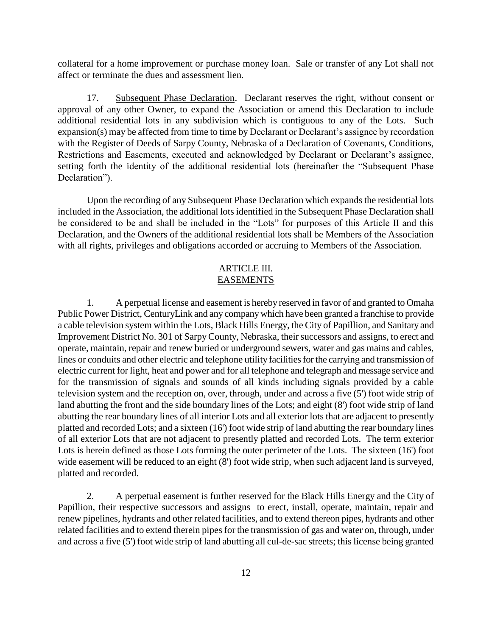collateral for a home improvement or purchase money loan. Sale or transfer of any Lot shall not affect or terminate the dues and assessment lien.

17. Subsequent Phase Declaration. Declarant reserves the right, without consent or approval of any other Owner, to expand the Association or amend this Declaration to include additional residential lots in any subdivision which is contiguous to any of the Lots. Such expansion(s) may be affected from time to time by Declarant or Declarant's assignee by recordation with the Register of Deeds of Sarpy County, Nebraska of a Declaration of Covenants, Conditions, Restrictions and Easements, executed and acknowledged by Declarant or Declarant's assignee, setting forth the identity of the additional residential lots (hereinafter the "Subsequent Phase Declaration").

Upon the recording of any Subsequent Phase Declaration which expands the residential lots included in the Association, the additional lots identified in the Subsequent Phase Declaration shall be considered to be and shall be included in the "Lots" for purposes of this Article II and this Declaration, and the Owners of the additional residential lots shall be Members of the Association with all rights, privileges and obligations accorded or accruing to Members of the Association.

## ARTICLE III. EASEMENTS

1. A perpetual license and easement is hereby reserved in favor of and granted to Omaha Public Power District, CenturyLink and any company which have been granted a franchise to provide a cable television system within the Lots, Black Hills Energy, the City of Papillion, and Sanitary and Improvement District No. 301 of SarpyCounty, Nebraska, their successors and assigns, to erect and operate, maintain, repair and renew buried or underground sewers, water and gas mains and cables, lines or conduits and other electric and telephone utility facilities for the carrying and transmission of electric current for light, heat and power and for all telephone and telegraph and message service and for the transmission of signals and sounds of all kinds including signals provided by a cable television system and the reception on, over, through, under and across a five (5') foot wide strip of land abutting the front and the side boundary lines of the Lots; and eight (8') foot wide strip of land abutting the rear boundary lines of all interior Lots and all exterior lots that are adjacent to presently platted and recorded Lots; and a sixteen (16') foot wide strip of land abutting the rear boundary lines of all exterior Lots that are not adjacent to presently platted and recorded Lots. The term exterior Lots is herein defined as those Lots forming the outer perimeter of the Lots. The sixteen (16') foot wide easement will be reduced to an eight  $(8')$  foot wide strip, when such adjacent land is surveyed, platted and recorded.

2. A perpetual easement is further reserved for the Black Hills Energy and the City of Papillion, their respective successors and assigns to erect, install, operate, maintain, repair and renew pipelines, hydrants and other related facilities, and to extend thereon pipes, hydrants and other related facilities and to extend therein pipes for the transmission of gas and water on, through, under and across a five (5') foot wide strip of land abutting all cul-de-sac streets; this license being granted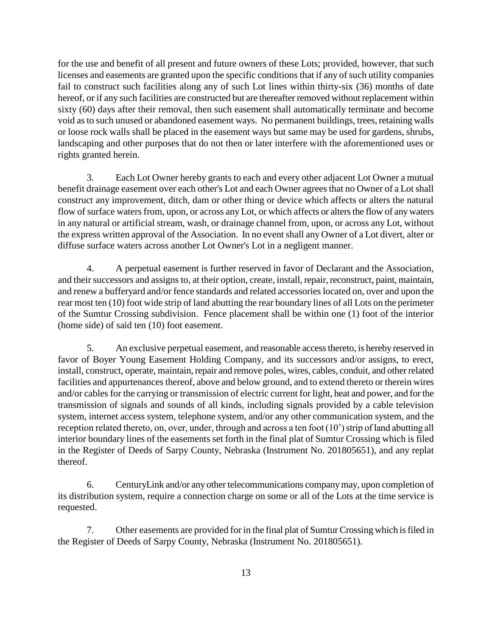for the use and benefit of all present and future owners of these Lots; provided, however, that such licenses and easements are granted upon the specific conditions that if any of such utility companies fail to construct such facilities along any of such Lot lines within thirty-six (36) months of date hereof, or if any such facilities are constructed but are thereafter removed without replacement within sixty (60) days after their removal, then such easement shall automatically terminate and become void as to such unused or abandoned easement ways. No permanent buildings, trees, retaining walls or loose rock walls shall be placed in the easement ways but same may be used for gardens, shrubs, landscaping and other purposes that do not then or later interfere with the aforementioned uses or rights granted herein.

3. Each Lot Owner hereby grants to each and every other adjacent Lot Owner a mutual benefit drainage easement over each other's Lot and each Owner agrees that no Owner of a Lot shall construct any improvement, ditch, dam or other thing or device which affects or alters the natural flow of surface waters from, upon, or across any Lot, or which affects or alters the flow of any waters in any natural or artificial stream, wash, or drainage channel from, upon, or across any Lot, without the express written approval of the Association. In no event shall any Owner of a Lot divert, alter or diffuse surface waters across another Lot Owner's Lot in a negligent manner.

4. A perpetual easement is further reserved in favor of Declarant and the Association, and their successors and assigns to, at their option, create, install, repair, reconstruct, paint, maintain, and renew a bufferyard and/or fence standards and related accessories located on, over and upon the rear most ten (10) foot wide strip of land abutting the rear boundary lines of all Lots on the perimeter of the Sumtur Crossing subdivision. Fence placement shall be within one (1) foot of the interior (home side) of said ten (10) foot easement.

5. An exclusive perpetual easement, and reasonable access thereto, is hereby reserved in favor of Boyer Young Easement Holding Company, and its successors and/or assigns, to erect, install, construct, operate, maintain, repair and remove poles, wires, cables, conduit, and other related facilities and appurtenances thereof, above and below ground, and to extend thereto or therein wires and/or cables for the carrying or transmission of electric current for light, heat and power, and for the transmission of signals and sounds of all kinds, including signals provided by a cable television system, internet access system, telephone system, and/or any other communication system, and the reception related thereto, on, over, under, through and across a ten foot (10') strip of land abutting all interior boundary lines of the easements set forth in the final plat of Sumtur Crossing which is filed in the Register of Deeds of Sarpy County, Nebraska (Instrument No. 201805651), and any replat thereof.

6. CenturyLink and/or any other telecommunications company may, upon completion of its distribution system, require a connection charge on some or all of the Lots at the time service is requested.

7. Other easements are provided for in the final plat of Sumtur Crossing which is filed in the Register of Deeds of Sarpy County, Nebraska (Instrument No. 201805651).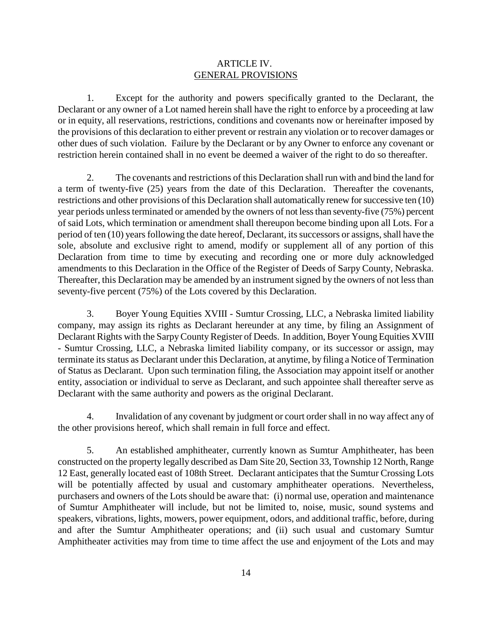#### ARTICLE IV. GENERAL PROVISIONS

1. Except for the authority and powers specifically granted to the Declarant, the Declarant or any owner of a Lot named herein shall have the right to enforce by a proceeding at law or in equity, all reservations, restrictions, conditions and covenants now or hereinafter imposed by the provisions of this declaration to either prevent or restrain any violation or to recover damages or other dues of such violation. Failure by the Declarant or by any Owner to enforce any covenant or restriction herein contained shall in no event be deemed a waiver of the right to do so thereafter.

2. The covenants and restrictions of this Declaration shall run with and bind the land for a term of twenty-five (25) years from the date of this Declaration. Thereafter the covenants, restrictions and other provisions of this Declaration shall automatically renew for successive ten (10) year periods unless terminated or amended by the owners of not less than seventy-five (75%) percent of said Lots, which termination or amendment shall thereupon become binding upon all Lots. For a period of ten (10) years following the date hereof, Declarant, its successors or assigns, shall have the sole, absolute and exclusive right to amend, modify or supplement all of any portion of this Declaration from time to time by executing and recording one or more duly acknowledged amendments to this Declaration in the Office of the Register of Deeds of Sarpy County, Nebraska. Thereafter, this Declaration may be amended by an instrument signed by the owners of not less than seventy-five percent (75%) of the Lots covered by this Declaration.

3. Boyer Young Equities XVIII - Sumtur Crossing, LLC, a Nebraska limited liability company, may assign its rights as Declarant hereunder at any time, by filing an Assignment of Declarant Rights with the Sarpy County Register of Deeds. In addition, Boyer Young Equities XVIII - Sumtur Crossing, LLC, a Nebraska limited liability company, or its successor or assign, may terminate its status as Declarant under this Declaration, at anytime, by filing a Notice of Termination of Status as Declarant. Upon such termination filing, the Association may appoint itself or another entity, association or individual to serve as Declarant, and such appointee shall thereafter serve as Declarant with the same authority and powers as the original Declarant.

4. Invalidation of any covenant by judgment or court order shall in no way affect any of the other provisions hereof, which shall remain in full force and effect.

5. An established amphitheater, currently known as Sumtur Amphitheater, has been constructed on the property legally described as Dam Site 20, Section 33, Township 12 North, Range 12 East, generally located east of 108th Street. Declarant anticipates that the Sumtur Crossing Lots will be potentially affected by usual and customary amphitheater operations. Nevertheless, purchasers and owners of the Lots should be aware that: (i) normal use, operation and maintenance of Sumtur Amphitheater will include, but not be limited to, noise, music, sound systems and speakers, vibrations, lights, mowers, power equipment, odors, and additional traffic, before, during and after the Sumtur Amphitheater operations; and (ii) such usual and customary Sumtur Amphitheater activities may from time to time affect the use and enjoyment of the Lots and may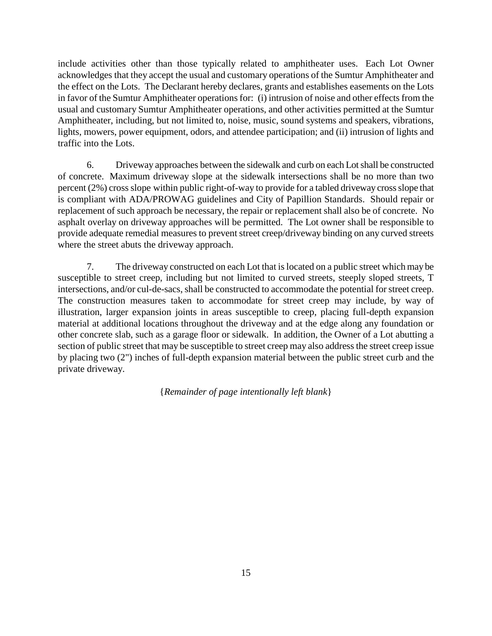include activities other than those typically related to amphitheater uses. Each Lot Owner acknowledges that they accept the usual and customary operations of the Sumtur Amphitheater and the effect on the Lots. The Declarant hereby declares, grants and establishes easements on the Lots in favor of the Sumtur Amphitheater operations for: (i) intrusion of noise and other effects from the usual and customary Sumtur Amphitheater operations, and other activities permitted at the Sumtur Amphitheater, including, but not limited to, noise, music, sound systems and speakers, vibrations, lights, mowers, power equipment, odors, and attendee participation; and (ii) intrusion of lights and traffic into the Lots.

6. Driveway approaches between the sidewalk and curb on each Lot shall be constructed of concrete. Maximum driveway slope at the sidewalk intersections shall be no more than two percent (2%) cross slope within public right-of-way to provide for a tabled driveway cross slope that is compliant with ADA/PROWAG guidelines and City of Papillion Standards. Should repair or replacement of such approach be necessary, the repair or replacement shall also be of concrete. No asphalt overlay on driveway approaches will be permitted. The Lot owner shall be responsible to provide adequate remedial measures to prevent street creep/driveway binding on any curved streets where the street abuts the driveway approach.

7. The driveway constructed on each Lot that is located on a public street which may be susceptible to street creep, including but not limited to curved streets, steeply sloped streets, T intersections, and/or cul-de-sacs, shall be constructed to accommodate the potential for street creep. The construction measures taken to accommodate for street creep may include, by way of illustration, larger expansion joints in areas susceptible to creep, placing full-depth expansion material at additional locations throughout the driveway and at the edge along any foundation or other concrete slab, such as a garage floor or sidewalk. In addition, the Owner of a Lot abutting a section of public street that may be susceptible to street creep may also address the street creep issue by placing two (2") inches of full-depth expansion material between the public street curb and the private driveway.

{*Remainder of page intentionally left blank*}